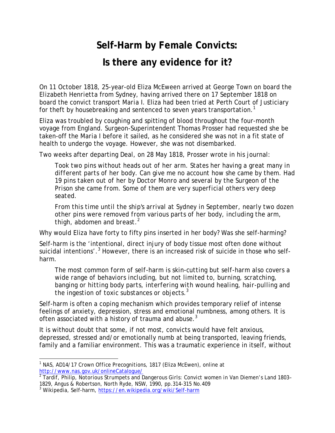## **Self-Harm by Female Convicts: Is there any evidence for it?**

On 11 October 1818, 25-year-old Eliza McEween arrived at George Town on board the *Elizabeth Henrietta* from Sydney, having arrived there on 17 September 1818 on board the convict transport *Maria I*. Eliza had been tried at Perth Court of Justiciary for theft by housebreaking and sentenced to seven years transportation.<sup>1</sup>

Eliza was troubled by coughing and spitting of blood throughout the four-month voyage from England. Surgeon-Superintendent Thomas Prosser had requested she be taken-off the *Maria I* before it sailed, as he considered she was not in a fit state of health to undergo the voyage. However, she was not disembarked.

Two weeks after departing Deal, on 28 May 1818, Prosser wrote in his journal:

*Took two pins without heads out of her arm. States her having a great many in different parts of her body. Can give me no account how she came by them. Had 19 pins taken out of her by Doctor Monro and several by the Surgeon of the Prison she came from. Some of them are very superficial others very deep seated.* 

*From this time until the ship's arrival at Sydney in September, nearly two dozen other pins were removed from various parts of her body, including the arm, thigh, abdomen and breast*. 2

Why would Eliza have forty to fifty pins inserted in her body? Was she self-harming?

Self-harm is the 'intentional, direct injury of body tissue most often done without suicidal intentions'.<sup>3</sup> However, there is an increased risk of suicide in those who selfharm.

*The most common form of self-harm is skin-cutting but self-harm also covers a wide range of behaviors including, but not limited to, burning, scratching, banging or hitting body parts, interfering with wound healing, hair-pulling and the ingestion of toxic substances or objects.<sup>3</sup>*

Self-harm is often a coping mechanism which provides temporary relief of intense feelings of anxiety, depression, stress and emotional numbness, among others. It is often associated with a history of trauma and abuse. $3$ 

It is without doubt that some, if not most, convicts would have felt anxious, depressed, stressed and/or emotionally numb at being transported, leaving friends, family and a familiar environment. This was a traumatic experience in itself, without

l <sup>1</sup> NAS, AD14/17 *Crown Office Precognitions*, 1817 (Eliza McEwen), online at http://www.nas.gov.uk/onlineCatalogue/

<sup>2</sup> Tardif, Philip, *Notorious Strumpets and Dangerous Girls: Convict women in Van Diemen's Land 1803– 1829*, Angus & Robertson, North Ryde, NSW, 1990, pp.314-315 No.409

<sup>3</sup> *Wikipedia*, Self-harm, https://en.wikipedia.org/wiki/Self-harm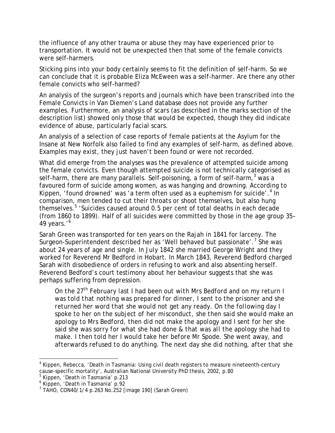the influence of any other trauma or abuse they may have experienced prior to transportation. It would not be unexpected then that some of the female convicts were self-harmers.

Sticking pins into your body certainly seems to fit the definition of self-harm. So we can conclude that it is probable Eliza McEween was a self-harmer. Are there any other female convicts who self-harmed?

An analysis of the surgeon's reports and journals which have been transcribed into the *Female Convicts in Van Diemen's Land* database does not provide any further examples. Furthermore, an analysis of scars (as described in the marks section of the description list) showed only those that would be expected, though they did indicate evidence of abuse, particularly facial scars.

An analysis of a selection of case reports of female patients at the Asylum for the Insane at New Norfolk also failed to find any examples of self-harm, as defined above. Examples may exist, they just haven't been found or were not recorded.

What did emerge from the analyses was the prevalence of attempted suicide among the female convicts. Even though attempted suicide is not technically categorised as self-harm, there are many parallels. Self-poisoning, a form of self-harm,<sup>3</sup> was a favoured form of suicide among women, as was hanging and drowning. According to Kippen, 'found drowned' was 'a term often used as a euphemism for suicide'.<sup>4</sup> In comparison, men tended to cut their throats or shoot themselves, but also hung themselves.<sup>5</sup> 'Suicides caused around 0.5 per cent of total deaths in each decade (from 1860 to 1899). Half of all suicides were committed by those in the age group 35– 49 years.'<sup>6</sup>

Sarah Green was transported for ten years on the *Rajah* in 1841 for larceny. The Surgeon-Superintendent described her as 'Well behaved but passionate'.<sup>7</sup> She was about 24 years of age and single. In July 1842 she married George Wright and they worked for Reverend Mr Bedford in Hobart. In March 1843, Reverend Bedford charged Sarah with disobedience of orders in refusing to work and also absenting herself. Reverend Bedford's court testimony about her behaviour suggests that she was perhaps suffering from depression.

*On the 27th February last I had been out with Mrs Bedford and on my return I was told that nothing was prepared for dinner, I sent to the prisoner and she returned her word that she would not get any ready. On the following day I spoke to her on the subject of her misconduct, she then said she would make an apology to Mrs Bedford, then did not make the apology and I sent for her she said she was sorry for what she had done & that was all the apology she had to make. I then told her I would take her before Mr Spode. She went away, and afterwards refused to do anything. The next day she did nothing, after that she* 

l <sup>4</sup> Kippen, Rebecca, 'Death in Tasmania: Using civil death registers to measure nineteenth-century cause-specific mortality', Australian National University PhD thesis, 2002, p.80

<sup>5</sup> Kippen, 'Death in Tasmania' p.213

<sup>6</sup> Kippen, 'Death in Tasmania' p.92

<sup>7</sup> TAHO, CON40/1/4 p.263 No.252 [image 190] (Sarah Green)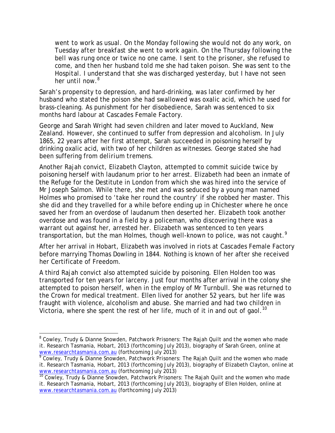*went to work as usual. On the Monday following she would not do any work, on Tuesday after breakfast she went to work again. On the Thursday following the bell was rung once or twice no one came. I sent to the prisoner, she refused to come, and then her husband told me she had taken poison. She was sent to the Hospital. I understand that she was discharged yesterday, but I have not seen her until now.<sup>8</sup>*

Sarah's propensity to depression, and hard-drinking, was later confirmed by her husband who stated the poison she had swallowed was oxalic acid, which he used for brass-cleaning. As punishment for her disobedience, Sarah was sentenced to six months hard labour at Cascades Female Factory.

George and Sarah Wright had seven children and later moved to Auckland, New Zealand. However, she continued to suffer from depression and alcoholism. In July 1865, 22 years after her first attempt, Sarah succeeded in poisoning herself by drinking oxalic acid, with two of her children as witnesses. George stated she had been suffering from *delirium tremens*.

Another *Rajah* convict, Elizabeth Clayton, attempted to commit suicide twice by poisoning herself with laudanum prior to her arrest. Elizabeth had been an inmate of the Refuge for the Destitute in London from which she was hired into the service of Mr Joseph Salmon. While there, she met and was seduced by a young man named Holmes who promised to 'take her round the country' if she robbed her master. This she did and they travelled for a while before ending up in Chichester where he once saved her from an overdose of laudanum then deserted her. Elizabeth took another overdose and was found in a field by a policeman, who discovering there was a warrant out against her, arrested her. Elizabeth was sentenced to ten years transportation, but the man Holmes, though well-known to police, was not caught.<sup>9</sup>

After her arrival in Hobart, Elizabeth was involved in riots at Cascades Female Factory before marrying Thomas Dowling in 1844. Nothing is known of her after she received her Certificate of Freedom.

A third *Rajah* convict also attempted suicide by poisoning. Ellen Holden too was transported for ten years for larceny. Just four months after arrival in the colony she attempted to poison herself, when in the employ of Mr Turnbull. She was returned to the Crown for medical treatment. Ellen lived for another 52 years, but her life was fraught with violence, alcoholism and abuse. She married and had two children in Victoria, where she spent the rest of her life, much of it in and out of gaol.<sup>10</sup>

l

<sup>&</sup>lt;sup>8</sup> Cowley, Trudy & Dianne Snowden, *Patchwork Prisoners: The Rajah Quilt and the women who made it*. Research Tasmania, Hobart, 2013 (forthcoming July 2013), biography of Sarah Green, online at www.researchtasmania.com.au (forthcoming July 2013)

<sup>9</sup> Cowley, Trudy & Dianne Snowden, *Patchwork Prisoners: The Rajah Quilt and the women who made it*. Research Tasmania, Hobart, 2013 (forthcoming July 2013), biography of Elizabeth Clayton, online at www.researchtasmania.com.au (forthcoming July 2013)

<sup>10</sup> Cowley, Trudy & Dianne Snowden, *Patchwork Prisoners: The Rajah Quilt and the women who made it*. Research Tasmania, Hobart, 2013 (forthcoming July 2013), biography of Ellen Holden, online at www.researchtasmania.com.au (forthcoming July 2013)